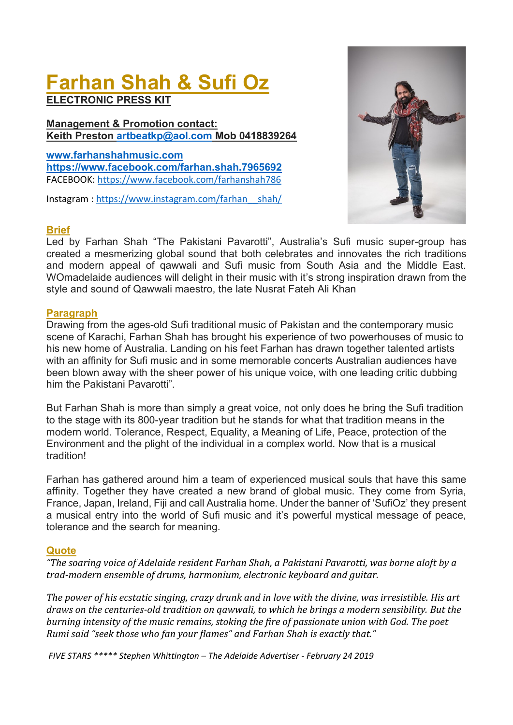# **Farhan Shah & Sufi Oz**

**ELECTRONIC PRESS KIT**

**Management & Promotion contact: Keith Preston [artbeatkp@aol.com](mailto:artbeatkp@aol.com) Mob 0418839264**

**[www.farhanshahmusic.com](http://www.farhanshahmusic.com/) <https://www.facebook.com/farhan.shah.7965692>** FACEBOOK: <https://www.facebook.com/farhanshah786>

Instagram : [https://www.instagram.com/farhan\\_\\_shah/](https://www.instagram.com/farhan__shah/)



#### **Brief**

Led by Farhan Shah "The Pakistani Pavarotti", Australia's Sufi music super-group has created a mesmerizing global sound that both celebrates and innovates the rich traditions and modern appeal of qawwali and Sufi music from South Asia and the Middle East. WOmadelaide audiences will delight in their music with it's strong inspiration drawn from the style and sound of Qawwali maestro, the late Nusrat Fateh Ali Khan

#### **Paragraph**

Drawing from the ages-old Sufi traditional music of Pakistan and the contemporary music scene of Karachi, Farhan Shah has brought his experience of two powerhouses of music to his new home of Australia. Landing on his feet Farhan has drawn together talented artists with an affinity for Sufi music and in some memorable concerts Australian audiences have been blown away with the sheer power of his unique voice, with one leading critic dubbing him the Pakistani Pavarotti".

But Farhan Shah is more than simply a great voice, not only does he bring the Sufi tradition to the stage with its 800-year tradition but he stands for what that tradition means in the modern world. Tolerance, Respect, Equality, a Meaning of Life, Peace, protection of the Environment and the plight of the individual in a complex world. Now that is a musical tradition!

Farhan has gathered around him a team of experienced musical souls that have this same affinity. Together they have created a new brand of global music. They come from Syria, France, Japan, Ireland, Fiji and call Australia home. Under the banner of 'SufiOz' they present a musical entry into the world of Sufi music and it's powerful mystical message of peace, tolerance and the search for meaning.

#### **Quote**

*"The soaring voice of Adelaide resident Farhan Shah, a Pakistani Pavarotti, was borne aloft by a trad-modern ensemble of drums, harmonium, electronic keyboard and guitar.*

*The power of his ecstatic singing, crazy drunk and in love with the divine, was irresistible. His art draws on the centuries-old tradition on qawwali, to which he brings a modern sensibility. But the burning intensity of the music remains, stoking the fire of passionate union with God. The poet Rumi said "seek those who fan your flames" and Farhan Shah is exactly that."*

*FIVE STARS \*\*\*\*\* Stephen Whittington – The Adelaide Advertiser - February 24 2019*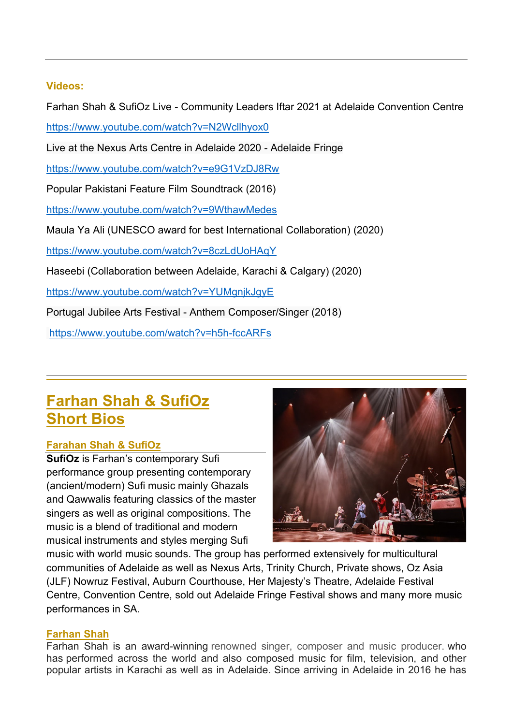#### **Videos:**

Farhan Shah & SufiOz Live - Community Leaders Iftar 2021 at Adelaide Convention Centre

<https://www.youtube.com/watch?v=N2Wcllhyox0>

Live at the Nexus Arts Centre in Adelaide 2020 - Adelaide Fringe

<https://www.youtube.com/watch?v=e9G1VzDJ8Rw>

Popular Pakistani Feature Film Soundtrack (2016)

<https://www.youtube.com/watch?v=9WthawMedes>

Maula Ya Ali (UNESCO award for best International Collaboration) (2020)

<https://www.youtube.com/watch?v=8czLdUoHAqY>

Haseebi (Collaboration between Adelaide, Karachi & Calgary) (2020)

<https://www.youtube.com/watch?v=YUMgnjkJgyE>

Portugal Jubilee Arts Festival - Anthem Composer/Singer (2018)

<https://www.youtube.com/watch?v=h5h-fccARFs>

# **Farhan Shah & SufiOz Short Bios**

## **Farahan Shah & SufiOz**

**SufiOz** is Farhan's contemporary Sufi performance group presenting contemporary (ancient/modern) Sufi music mainly Ghazals and Qawwalis featuring classics of the master singers as well as original compositions. The music is a blend of traditional and modern musical instruments and styles merging Sufi



music with world music sounds. The group has performed extensively for multicultural communities of Adelaide as well as Nexus Arts, Trinity Church, Private shows, Oz Asia (JLF) Nowruz Festival, Auburn Courthouse, Her Majesty's Theatre, Adelaide Festival Centre, Convention Centre, sold out Adelaide Fringe Festival shows and many more music performances in SA.

## **Farhan Shah**

Farhan Shah is an award-winning renowned singer, composer and music producer. who has performed across the world and also composed music for film, television, and other popular artists in Karachi as well as in Adelaide. Since arriving in Adelaide in 2016 he has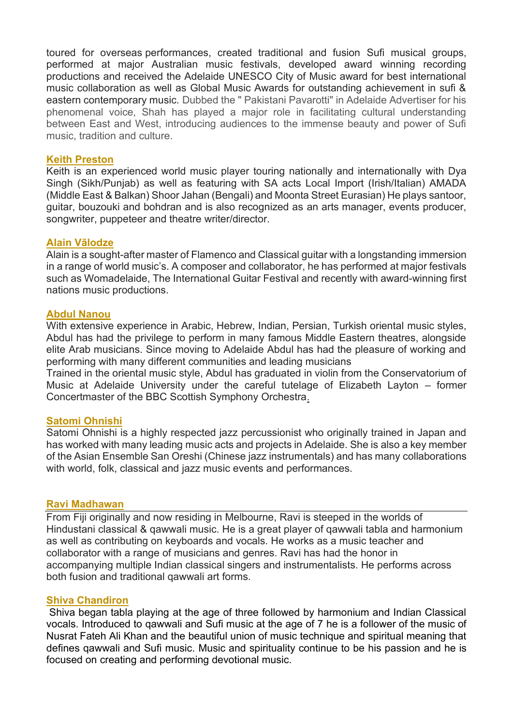toured for overseas performances, created traditional and fusion Sufi musical groups, performed at major Australian music festivals, developed award winning recording productions and received the Adelaide UNESCO City of Music award for best international music collaboration as well as Global Music Awards for outstanding achievement in sufi & eastern contemporary music. Dubbed the " Pakistani Pavarotti" in Adelaide Advertiser for his phenomenal voice, Shah has played a major role in facilitating cultural understanding between East and West, introducing audiences to the immense beauty and power of Sufi music, tradition and culture.

#### **Keith Preston**

Keith is an experienced world music player touring nationally and internationally with Dya Singh (Sikh/Punjab) as well as featuring with SA acts Local Import (Irish/Italian) AMADA (Middle East & Balkan) Shoor Jahan (Bengali) and Moonta Street Eurasian) He plays santoor, guitar, bouzouki and bohdran and is also recognized as an arts manager, events producer, songwriter, puppeteer and theatre writer/director.

#### **Alain Vãlodze**

Alain is a sought-after master of Flamenco and Classical guitar with a longstanding immersion in a range of world music's. A composer and collaborator, he has performed at major festivals such as Womadelaide, The International Guitar Festival and recently with award-winning first nations music productions.

#### **Abdul Nanou**

With extensive experience in Arabic, Hebrew, Indian, Persian, Turkish oriental music styles, Abdul has had the privilege to perform in many famous Middle Eastern theatres, alongside elite Arab musicians. Since moving to Adelaide Abdul has had the pleasure of working and performing with many different communities and leading musicians

Trained in the oriental music style, Abdul has graduated in violin from the Conservatorium of Music at Adelaide University under the careful tutelage of Elizabeth Layton – former Concertmaster of the BBC Scottish Symphony Orchestra.

#### **Satomi Ohnishi**

Satomi Ohnishi is a highly respected jazz percussionist who originally trained in Japan and has worked with many leading music acts and projects in Adelaide. She is also a key member of the Asian Ensemble San Oreshi (Chinese jazz instrumentals) and has many collaborations with world, folk, classical and jazz music events and performances.

#### **Ravi Madhawan**

From Fiji originally and now residing in Melbourne, Ravi is steeped in the worlds of Hindustani classical & qawwali music. He is a great player of qawwali tabla and harmonium as well as contributing on keyboards and vocals. He works as a music teacher and collaborator with a range of musicians and genres. Ravi has had the honor in accompanying multiple Indian classical singers and instrumentalists. He performs across both fusion and traditional qawwali art forms.

#### **Shiva Chandiron**

Shiva began tabla playing at the age of three followed by harmonium and Indian Classical vocals. Introduced to qawwali and Sufi music at the age of 7 he is a follower of the music of Nusrat Fateh Ali Khan and the beautiful union of music technique and spiritual meaning that defines qawwali and Sufi music. Music and spirituality continue to be his passion and he is focused on creating and performing devotional music.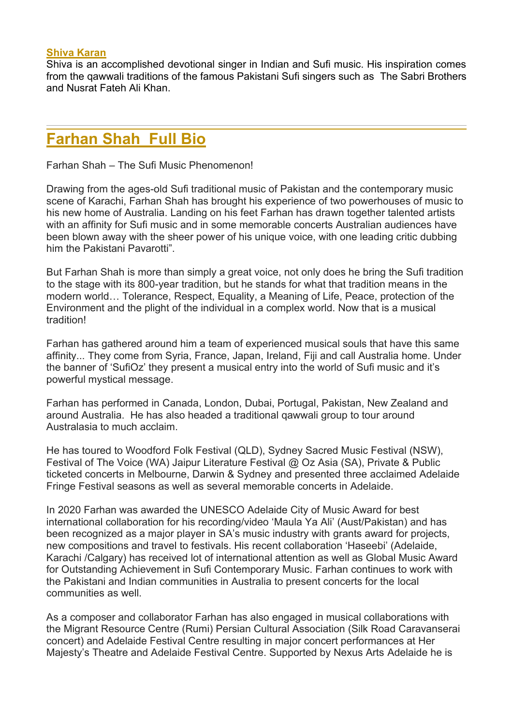#### **Shiva Karan**

Shiva is an accomplished devotional singer in Indian and Sufi music. His inspiration comes from the qawwali traditions of the famous Pakistani Sufi singers such as The Sabri Brothers and Nusrat Fateh Ali Khan.

## **Farhan Shah Full Bio**

Farhan Shah – The Sufi Music Phenomenon!

Drawing from the ages-old Sufi traditional music of Pakistan and the contemporary music scene of Karachi, Farhan Shah has brought his experience of two powerhouses of music to his new home of Australia. Landing on his feet Farhan has drawn together talented artists with an affinity for Sufi music and in some memorable concerts Australian audiences have been blown away with the sheer power of his unique voice, with one leading critic dubbing him the Pakistani Pavarotti".

But Farhan Shah is more than simply a great voice, not only does he bring the Sufi tradition to the stage with its 800-year tradition, but he stands for what that tradition means in the modern world… Tolerance, Respect, Equality, a Meaning of Life, Peace, protection of the Environment and the plight of the individual in a complex world. Now that is a musical tradition!

Farhan has gathered around him a team of experienced musical souls that have this same affinity... They come from Syria, France, Japan, Ireland, Fiji and call Australia home. Under the banner of 'SufiOz' they present a musical entry into the world of Sufi music and it's powerful mystical message.

Farhan has performed in Canada, London, Dubai, Portugal, Pakistan, New Zealand and around Australia. He has also headed a traditional qawwali group to tour around Australasia to much acclaim.

He has toured to Woodford Folk Festival (QLD), Sydney Sacred Music Festival (NSW), Festival of The Voice (WA) Jaipur Literature Festival @ Oz Asia (SA), Private & Public ticketed concerts in Melbourne, Darwin & Sydney and presented three acclaimed Adelaide Fringe Festival seasons as well as several memorable concerts in Adelaide.

In 2020 Farhan was awarded the UNESCO Adelaide City of Music Award for best international collaboration for his recording/video 'Maula Ya Ali' (Aust/Pakistan) and has been recognized as a major player in SA's music industry with grants award for projects, new compositions and travel to festivals. His recent collaboration 'Haseebi' (Adelaide, Karachi /Calgary) has received lot of international attention as well as Global Music Award for Outstanding Achievement in Sufi Contemporary Music. Farhan continues to work with the Pakistani and Indian communities in Australia to present concerts for the local communities as well.

As a composer and collaborator Farhan has also engaged in musical collaborations with the Migrant Resource Centre (Rumi) Persian Cultural Association (Silk Road Caravanserai concert) and Adelaide Festival Centre resulting in major concert performances at Her Majesty's Theatre and Adelaide Festival Centre. Supported by Nexus Arts Adelaide he is